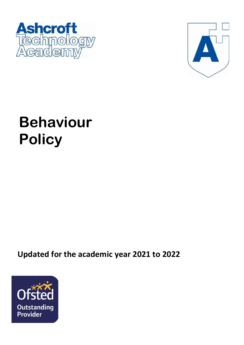



# **Behaviour Policy**

**Updated for the academic year 2021 to 2022**

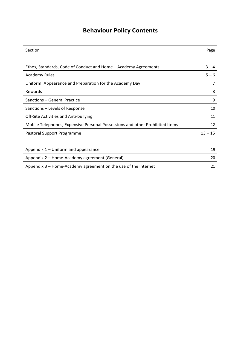## **Behaviour Policy Contents**

| Section                                                                      | Page      |
|------------------------------------------------------------------------------|-----------|
|                                                                              |           |
| Ethos, Standards, Code of Conduct and Home – Academy Agreements              | $3 - 4$   |
| <b>Academy Rules</b>                                                         | $5 - 6$   |
| Uniform, Appearance and Preparation for the Academy Day                      | 7         |
| Rewards                                                                      | 8         |
| Sanctions - General Practice                                                 | 9         |
| Sanctions – Levels of Response                                               | 10        |
| Off-Site Activities and Anti-bullying                                        | 11        |
| Mobile Telephones, Expensive Personal Possessions and other Prohibited Items | 12        |
| Pastoral Support Programme                                                   | $13 - 15$ |
|                                                                              |           |
| Appendix 1 – Uniform and appearance                                          | 19        |
| Appendix 2 – Home-Academy agreement (General)                                | 20        |
| Appendix 3 – Home-Academy agreement on the use of the Internet               | 21        |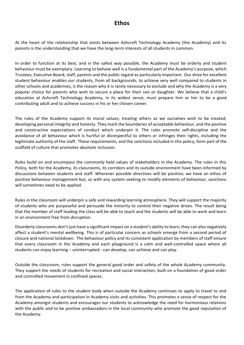### **Ethos**

At the heart of the relationship that exists between Ashcroft Technology Academy (the Academy) and its parents is the understanding that we have the long-term interests of all students in common.

In order to function at its best, and in the safest way possible, the Academy must be orderly and student behaviour must be exemplary. Learning to behave well is a fundamental part of the Academy's purpose, which Trustees, Executive Board, staff, parents and the public regard as particularly important. Our drive for excellent student behaviour enables our students, from all backgrounds, to achieve very well compared to students in other schools and academies, is the reason why it is rarely necessary to exclude and why the Academy is a very popular choice for parents who wish to secure a place for their son or daughter. We believe that a child's education at Ashcroft Technology Academy, in its widest sense, must prepare him or her to be a good contributing adult and to achieve success in his or her chosen career.

The rules of the Academy support its moral values; treating others as we ourselves wish to be treated; developing personal integrity and honesty. They mark the boundaries of acceptable behaviour, and the positive and constructive expectations of conduct which underpin it. The rules promote self-discipline and the avoidance of all behaviour which is hurtful or disrespectful to others or infringes their rights, including the legitimate authority of the staff. These requirements, and the sanctions included in this policy, form part of the scaffold of culture that promotes absolute inclusion.

Rules build on and encompass the commonly held values of stakeholders in the Academy. The rules in this Policy, both for the Academy, its classrooms, its corridors and its outside environment have been informed by discussions between students and staff. Wherever possible directives will be positive; we have an ethos of positive behaviour management but, as with any system seeking to modify elements of behaviour, sanctions will sometimes need to be applied.

Rules in the classroom will underpin a safe and rewarding learning atmosphere. They will support the majority of students who are purposeful and persuade the minority to control their negative drives. The result being that the member of staff leading the class will be able to teach and the students will be able to work and learn in an environment free from disruption.

Disorderly classrooms don't just have a significant impact on a student's ability to learn, they can also negatively affect a student's mental wellbeing. This is of particular concern as schools emerge from a second period of closure and national lockdown. The behaviour policy and its consistent application by members of staff ensure that every classroom in the Academy and each playground is a calm and well-controlled space where all students can enjoy learning – uninterrupted - can develop, can achieve and can play.

Outside the classroom, rules support the general good order and safety of the whole Academy community. They support the needs of students for recreation and social interaction, built on a foundation of good order and controlled movement in confined spaces.

The application of rules to the student body when outside the Academy continues to apply to travel to and from the Academy and participation in Academy visits and activities. This promotes a sense of respect for the Academy amongst students and encourages our students to acknowledge the need for harmonious relations with the public and to be positive ambassadors in the local community who promote the good reputation of the Academy.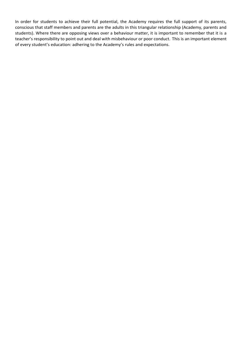In order for students to achieve their full potential, the Academy requires the full support of its parents, conscious that staff members and parents are the adults in this triangular relationship (Academy, parents and students). Where there are opposing views over a behaviour matter, it is important to remember that it is a teacher's responsibility to point out and deal with misbehaviour or poor conduct. This is an important element of every student's education: adhering to the Academy's rules and expectations.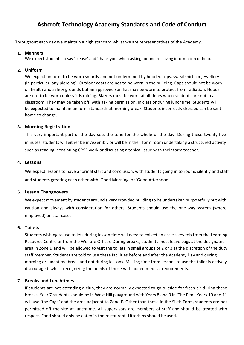## **Ashcroft Technology Academy Standards and Code of Conduct**

Throughout each day we maintain a high standard whilst we are representatives of the Academy.

#### **1. Manners**

We expect students to say 'please' and 'thank you' when asking for and receiving information or help.

#### **2. Uniform**

We expect uniform to be worn smartly and not undermined by hooded tops, sweatshirts or jewellery (in particular, any piercing). Outdoor coats are not to be worn in the building. Caps should not be worn on health and safety grounds but an approved sun hat may be worn to protect from radiation. Hoods are not to be worn unless it is raining. Blazers must be worn at all times when students are not in a classroom. They may be taken off, with asking permission, in class or during lunchtime. Students will be expected to maintain uniform standards at morning break. Students incorrectly dressed can be sent home to change.

#### **3. Morning Registration**

This very important part of the day sets the tone for the whole of the day. During these twenty-five minutes, students will either be in Assembly or will be in their form room undertaking a structured activity such as reading, continuing CPSE work or discussing a topical issue with their form teacher.

#### **4. Lessons**

We expect lessons to have a formal start and conclusion, with students going in to rooms silently and staff and students greeting each other with 'Good Morning' or 'Good Afternoon'.

#### **5. Lesson Changeovers**

We expect movement by students around a very crowded building to be undertaken purposefully but with caution and always with consideration for others. Students should use the one-way system (where employed) on staircases.

#### **6. Toilets**

Students wishing to use toilets during lesson time will need to collect an access key fob from the Learning Resource Centre or from the Welfare Officer. During breaks, students must leave bags at the designated area in Zone D and will be allowed to visit the toilets in small groups of 2 or 3 at the discretion of the duty staff member. Students are told to use these facilities before and after the Academy Day and during morning or lunchtime break and not during lessons. Missing time from lessons to use the toilet is actively discouraged. whilst recognizing the needs of those with added medical requirements.

#### **7. Breaks and Lunchtimes**

If students are not attending a club, they are normally expected to go outside for fresh air during these breaks. Year 7 students should be in West Hill playground with Years 8 and 9 in 'The Pen'. Years 10 and 11 will use 'the Cage' and the area adjacent to Zone E. Other than those in the Sixth Form, students are not permitted off the site at lunchtime. All supervisors are members of staff and should be treated with respect. Food should only be eaten in the restaurant. Litterbins should be used.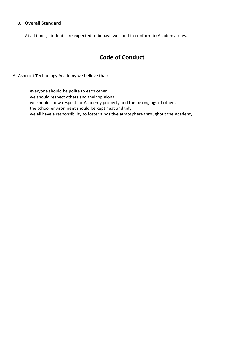#### **8. Overall Standard**

At all times, students are expected to behave well and to conform to Academy rules.

## **Code of Conduct**

At Ashcroft Technology Academy we believe that:

- everyone should be polite to each other
- we should respect others and their opinions
- we should show respect for Academy property and the belongings of others
- the school environment should be kept neat and tidy
- we all have a responsibility to foster a positive atmosphere throughout the Academy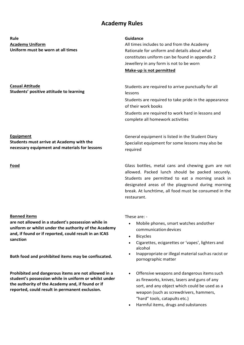## **Academy Rules**

**Rule Guidance Academy Uniform Uniform must be worn at all times**

**Students' positive attitude to learning**

All times includes to and from the Academy Rationale for uniform and details about what constitutes uniform can be found in appendix 2 Jewellery in any form is not to be worn **Make-up is not permitted**

Students are required to arrive punctually for all lessons

Students are required to take pride in the appearance of their work books

Students are required to work hard in lessons and complete all homework activities

General equipment is listed in the Student Diary Specialist equipment for some lessons may also be

#### **Equipment**

**Casual Attitude**

**Students must arrive at Academy with the necessary equipment and materials for lessons**

#### **Banned items**

**are not allowed in a student's possession while in uniform or whilst under the authority of the Academy and, if found or if reported, could result in an ICAS sanction**

**Both food and prohibited items may be confiscated.**

**Prohibited and dangerous items are not allowed in a student's possession while in uniform or whilst under the authority of the Academy and, if found or if reported, could result in permanent exclusion.**

required **Food Glass bottles, metal cans and chewing gum are not** Glass bottles, metal cans and chewing gum are not allowed. Packed lunch should be packed securely. Students are permitted to eat a morning snack in

designated areas of the playground during morning break. At lunchtime, all food must be consumed in the restaurant.

These are: -

- Mobile phones, smart watches andother communication devices
- **Bicycles**
- Cigarettes, ecigarettes or 'vapes', lighters and alcohol
- Inappropriate or illegal material suchas racist or pornographic matter
- Offensive weapons and dangerous items such as fireworks, knives, lasers and guns of any sort, and any object which could be used as a weapon (such as screwdrivers, hammers, "hard" tools, catapults etc.)
- Harmful items, drugs and substances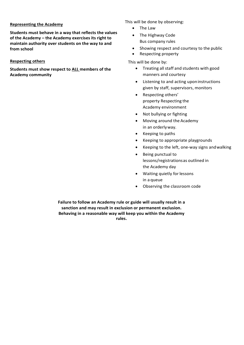#### **Representing the Academy**

**Students must behave in a way that reflects the values of the Academy – the Academy exercises its right to maintain authority over students on the way to and from school**

#### **Respecting others**

**Students must show respect to ALL members of the Academy community**

This will be done by observing:

- The Law
- The Highway Code Bus company rules
- Showing respect and courtesy to the public
- Respecting property

This will be done by:

- Treating all staff and students with good manners and courtesy
- Listening to and acting uponinstructions given by staff, supervisors, monitors
- Respecting others' property Respecting the Academy environment
- Not bullying or fighting
- Moving around the Academy in an orderlyway.
- Keeping to paths
- Keeping to appropriate playgrounds
- Keeping to the left, one-way signs andwalking
- Being punctual to lessons/registrationsas outlined in the Academy day
- Waiting quietly forlessons in a queue
- Observing the classroom code

**Failure to follow an Academy rule or guide will usually result in a sanction and may result in exclusion or permanent exclusion. Behaving in a reasonable way will keep you within the Academy rules.**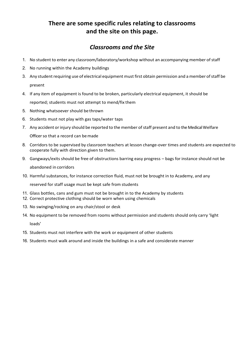## **There are some specific rules relating to classrooms and the site on this page.**

## *Classrooms and the Site*

- 1. No student to enter any classroom/laboratory/workshop without an accompanying member ofstaff
- 2. No running within the Academy buildings
- 3. Any student requiring use of electrical equipment must first obtain permission and a member of staff be present
- 4. If any item of equipment is found to be broken, particularly electrical equipment, it should be reported; students must not attempt to mend/fix them
- 5. Nothing whatsoever should be thrown
- 6. Students must not play with gas taps/water taps
- 7. Any accident or injury should be reported to the member of staff present and to the Medical Welfare

Officer so that a record can bemade

- 8. Corridors to be supervised by classroom teachers at lesson change-over times and students are expected to cooperate fully with direction given to them.
- 9. Gangways/exits should be free of obstructions barring easy progress bags for instance should not be abandoned in corridors
- 10. Harmful substances, for instance correction fluid, must not be brought in to Academy, and any

reserved for staff usage must be kept safe from students

- 11. Glass bottles, cans and gum must not be brought in to the Academy by students
- 12. Correct protective clothing should be worn when using chemicals
- 13. No swinging/rocking on any chair/stool or desk
- 14. No equipment to be removed from rooms without permission and students should only carry 'light loads'
- 15. Students must not interfere with the work or equipment of other students
- 16. Students must walk around and inside the buildings in a safe and considerate manner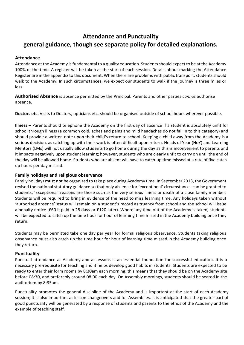## **Attendance and Punctuality general guidance, though see separate policy for detailed explanations.**

#### **Attendance**

Attendance at the Academy is fundamental to a quality education. Students should expect to be at the Academy 100% of the time. A register will be taken at the start of each session. Details about marking the Attendance Register are in the appendix to this document. When there are problems with public transport, students should walk to the Academy. In such circumstances, we expect our students to walk if the journey is three miles or less.

**Authorised Absence** is absence permitted by the Principal. Parents and other parties *cannot* authorise absence.

**Doctors etc.** Visits to Doctors, opticians etc. should be organised outside of school hours wherever possible.

**Illness –** Parents should telephone the Academy on the first day of absence if a student is absolutely unfit for school through illness (a common cold, aches and pains and mild headaches do not fall in to this category) and should provide a written note upon their child's return to school. Keeping a child away from the Academy is a serious decision, as catching up with their work is often difficult upon return. Heads of Year (HoY) and Learning Mentors (LMs) will not usually allow students to go home during the day as this is inconvenient to parents and it impacts negatively upon student learning; however, students who are clearly unfit to carry on until the end of the day will be allowed home. Students who are absent will have to catch-up time missed at a rate of five catchup hours per day missed.

#### **Family holidays and religious observance**

Family holidays **must not** be organised to take place during Academy time. In September 2013, the Government revised the national statutory guidance so that only absence for 'exceptional' circumstances can be granted to students. 'Exceptional' reasons are those such as the very serious illness or death of a close family member. Students will be required to bring in evidence of the need to miss learning time. Any holidays taken without 'authorised absence' status will remain on a student's record as truancy from school and the school will issue a penalty notice (£60 if paid in 28 days or £120 later). Where any time out of the Academy is taken, students will be expected to catch up the time hour for hour of learning time missed in the Academy building once they return.

Students may be permitted take one day per year for formal religious observance. Students taking religious observance must also catch up the time hour for hour of learning time missed in the Academy building once they return.

#### **Punctuality**

Punctual attendance at Academy and at lessons is an essential foundation for successful education. It is a necessary pre-requisite for teaching and it helps develop good habits in students. Students are expected to be ready to enter their form rooms by 8:30am each morning; this means that they should be on the Academy site before 08:30, and preferably around 08:00 each day. On Assembly mornings, students should be seated in the auditorium by 8:35am.

Punctuality promotes the general discipline of the Academy and is important at the start of each Academy session; it is also important at lesson changeovers and for Assemblies. It is anticipated that the greater part of good punctuality will be generated by a response of students and parents to the ethos of the Academy and the example of teaching staff.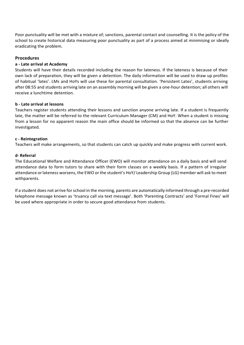Poor punctuality will be met with a mixture of; sanctions, parental contact and counselling. It is the policy of the school to create historical data measuring poor punctuality as part of a process aimed at minimising or ideally eradicating the problem.

#### **Procedures**

#### **a - Late arrival at Academy**

Students will have their details recorded including the reason for lateness. If the lateness is because of their own lack of preparation, they will be given a detention. The daily information will be used to draw up profiles of habitual 'lates'. LMs and HoYs will use these for parental consultation. 'Persistent Lates', students arriving after 08:55 and students arriving late on an assembly morning will be given a one-hour detention; all others will receive a lunchtime detention.

#### **b - Late arrival at lessons**

Teachers register students attending their lessons and sanction anyone arriving late. If a student is frequently late, the matter will be referred to the relevant Curriculum Manager (CM) and HoY. When a student is missing from a lesson for no apparent reason the main office should be informed so that the absence can be further investigated.

#### **c - Reintegration**

Teachers will make arrangements, so that students can catch up quickly and make progress with current work.

#### **d- Referral**

The Educational Welfare and Attendance Officer (EWO) will monitor attendance on a daily basis and will send attendance data to form tutors to share with their form classes on a weekly basis. If a pattern of irregular attendance orlateness worsens, the EWO orthe student's HoY/ Leadership Group (LG) member will ask to meet withparents.

If a student does not arrive forschool in the morning, parents are automatically informed through a pre-recorded telephone message known as 'truancy call via text message'. Both 'Parenting Contracts' and 'Formal Fines' will be used where appropriate in order to secure good attendance from students.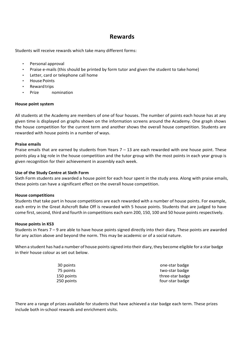## **Rewards**

Students will receive rewards which take many different forms:

- Personal approval
- Praise e-mails (this should be printed by form tutor and given the student to take home)
- Letter, card or telephone call home
- House Points
- Reward trips
- Prize nomination

#### **House point system**

All students at the Academy are members of one of four houses. The number of points each house has at any given time is displayed on graphs shown on the information screens around the Academy. One graph shows the house competition for the current term and another shows the overall house competition. Students are rewarded with house points in a number of ways.

#### **Praise emails**

Praise emails that are earned by students from Years  $7 - 13$  are each rewarded with one house point. These points play a big role in the house competition and the tutor group with the most points in each year group is given recognition for their achievement in assembly each week.

#### **Use of the Study Centre at Sixth Form**

Sixth Form students are awarded a house point for each hour spent in the study area. Along with praise emails, these points can have a significant effect on the overall house competition.

#### **House competitions**

Students that take part in house competitions are each rewarded with a number of house points. For example, each entry in the Great Ashcroft Bake Off is rewarded with 5 house points. Students that are judged to have come first, second, third and fourth in competitions each earn 200, 150, 100 and 50 house points respectively.

#### **House points in KS3**

Students in Years 7 – 9 are able to have house points signed directly into their diary. These points are awarded for any action above and beyond the norm. This may be academic or of a social nature.

When a student has had a number of house points signed into their diary, they become eligible for a star badge in their house colour as set out below.

| 30 points  | one-star badge   |
|------------|------------------|
| 75 points  | two-star badge   |
| 150 points | three-star badge |
| 250 points | four-star badge  |

There are a range of prizes available for students that have achieved a star badge each term. These prizes include both in-school rewards and enrichment visits.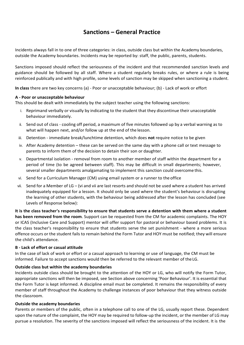## **Sanctions – General Practice**

Incidents always fall in to one of three categories: in class, outside class but within the Academy boundaries, outside the Academy boundaries. Incidents may be reported by: staff, the public, parents, students.

Sanctions imposed should reflect the seriousness of the incident and that recommended sanction levels and guidance should be followed by all staff. Where a student regularly breaks rules, or where a rule is being reinforced publically and with high profile, some levels of sanction may be skipped when sanctioning a student.

**In class** there are two key concerns (a) - Poor or unacceptable behaviour; (b) - Lack of work or effort

#### **A - Poor or unacceptable behaviour**

This should be dealt with immediately by the subject teacher using the following sanctions:

- i. Reprimand verbally or visually by indicating to the student that they discontinue their unacceptable behaviour immediately.
- ii. Send out of class cooling off period, a maximum of five minutes followed up by a verbal warning as to what will happen next, and/or follow up at the end of the lesson.
- iii. Detention immediate break/lunchtime detention, which does **not** require notice to be given
- iv. After Academy detention these can be served on the same day with a phone call or text message to parents to inform them of the decision to detain their son or daughter.
- v. Departmental isolation removal from room to another member of staff within the department for a period of time (to be agreed between staff). This may be difficult in small departments; however, several smaller departments amalgamating to implement this sanction could overcome this.
- vi. Send for a Curriculum Manager (CM) using email system or a runner to the office
- vii. Send for a Member of LG (vi and vii are last resorts and should not be used where a student has arrived inadequately equipped for a lesson. It should only be used where the student's behaviour is disrupting the learning of other students, with the behaviour being addressed after the lesson has concluded (see Levels of Response below):

**It is the class teacher's responsibility to ensure that students serve a detention with them where a student has been removed from the room**. Support can be requested from the CM for academic complaints. The HOY or ICAS (Inclusive Care and Support) mentor will offer support for pastoral or behaviour based problems. It is the class teacher's responsibility to ensure that students serve the set punishment - where a more serious offence occurs or the student fails to remain behind the Form Tutor and HOY must be notified; they will ensure the child's attendance.

#### **B - Lack of effort or casual attitude**

In the case of lack of work or effort or a casual approach to learning or use of language, the CM must be informed. Failure to accept sanctions would then be referred to the relevant member of theLG.

#### **Outside class but within the academy boundaries**

Incidents outside class should be brought to the attention of the HOY or LG, who will notify the Form Tutor, appropriate sanctions will then be imposed, see Section above concerning 'Poor Behaviour'. It is essential that the Form Tutor is kept informed. A discipline email must be completed. It remains the responsibility of every member of staff throughout the Academy to challenge instances of poor behaviour that they witness outside the classroom.

#### **Outside the academy boundaries**

Parents or members of the public, often in a telephone call to one of the LG, usually report these. Dependent upon the nature of the complaint, the HOY may be required to follow-up the incident, or the member of LG may pursue a resolution. The severity of the sanctions imposed will reflect the seriousness of the incident. It is the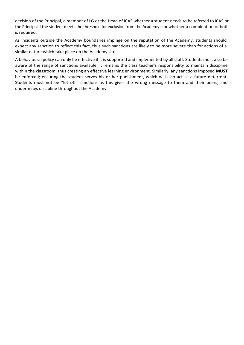decision of the Principal, a member of LG or the Head of ICAS whether a student needs to be referred to ICAS or the Principal if the student meets the threshold for exclusion from the Academy – or whether a combination of both is required.

As incidents outside the Academy boundaries impinge on the reputation of the Academy, students should expect any sanction to reflect this fact, thus such sanctions are likely to be more severe than for actions of a similar nature which take place on the Academy site.

A behavioural policy can only be effective if it is supported and implemented by all staff. Students must also be aware of the range of sanctions available. It remains the class teacher's responsibility to maintain discipline within the classroom, thus creating an effective learning environment. Similarly, any sanctions imposed **MUST**  be enforced; ensuring the student serves his or her punishment, which will also act as a future deterrent. Students must not be "let off" sanctions as this gives the wrong message to them and their peers, and undermines discipline throughout the Academy.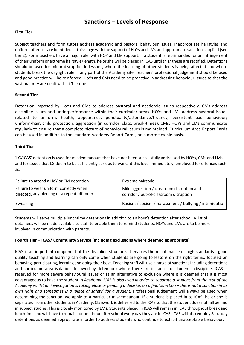## **Sanctions – Levels of Response**

#### **First Tier**

Subject teachers and form tutors address academic and pastoral behaviour issues. Inappropriate hairstyles and uniform offences are identified at this stage with the support of HoYs and LMs and appropriate sanctions applied (see tier 2). Form teachers have a major role, with HOY and LM support. If a student is reprimanded for an infringement of their uniform or extreme hairstyle/length, he orshe will be placed in ICAS until this/ these are rectified. Detentions should be used for minor disruption in lessons, where the learning of other students is being affected and where students break the daylight rule in any part of the Academy site. Teachers' professional judgement should be used and good practice will be reinforced. HoYs and CMs need to be proactive in addressing behaviour issues so that the vast majority are dealt with at Tier one.

#### **Second Tier**

Detention imposed by HoYs and CMs to address pastoral and academic issues respectively. CMs address discipline issues and underperformance within their curricular areas. HOYs and LMs address pastoral issues related to uniform, health, appearance, punctuality/attendance/truancy, persistent bad behaviour; uniform/hair, child protection; aggression (in corridor, class, break-times). CMs, HOYs and LMs communicate regularly to ensure that a complete picture of behavioural issues is maintained. Curriculum Area Report Cards can be used in addition to the standard Academy Report Cards, on a more flexible basis.

#### **Third Tier**

'LG/ICAS' detention is used for misdemeanours that have not been successfully addressed by HOYs, CMs and LMs and for issues that LG deem to be sufficiently serious to warrant this level immediately, employed for offences such as:

| Failure to attend a HoY or CM detention                                               | <b>Extreme hairstyle</b>                                                             |
|---------------------------------------------------------------------------------------|--------------------------------------------------------------------------------------|
| Failure to wear uniform correctly when<br>directed, any piercing or a repeat offender | Mild aggression / classroom disruption and<br>corridor / out-of-classroom disruption |
| Swearing                                                                              | Racism / sexism / harassment / bullying / intimidation                               |

Students will serve multiple lunchtime detentions in addition to an hour's detention after school. A list of detainees will be made available to staff to enable them to remind students. HOYs and LMs are to be more involved in communication with parents.

#### **Fourth Tier – ICAS/ Community Service (including exclusions where deemed appropriate)**

ICAS is an important component of the discipline structure. It enables the maintenance of high standards - good quality teaching and learning can only come when students are going to lessons on the right terms; focused on behaving, participating, learning and doing their best. Teaching staff will use a range of sanctions including detentions and curriculum area isolation (followed by detention) where there are instances of student indiscipline. ICAS is reserved for more severe behavioural issues or as an alternative to exclusion where it is deemed that it is most advantageous to have the student in Academy. *ICAS is also used in order to separate a student from the rest of the Academy whilst an investigation is taking place or pending a decision on a final sanction – this is not a sanction in its own right and sometimes is a 'place of safety' for a student.* Professional judgement will always be used when determining the sanction, we apply to a particular misdemeanour. If a student is placed in to ICAS, he or she is separated from other students in Academy. Classwork is delivered to the ICAS so that the student does not fall behind in subject studies. This is closely monitored by LMs. Students placed in ICAS will remain in ICAS throughout break and lunchtime and will have to remain for one-hour after school every day they are in ICAS. ICAS will also employ Saturday detentions as deemed appropriate in order to address students who continue to exhibit unacceptable behaviour.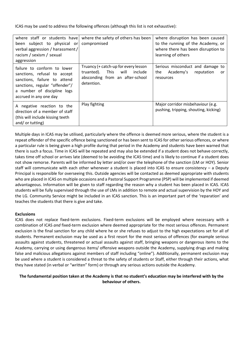ICAS may be used to address the following offences (although this list is not exhaustive):

| been subject to physical or<br>verbal aggression / harassment /<br>racism / sexism / sexual<br>aggression                                                                              | where staff or students have where the safety of others has been<br>compromised                                                | where disruption has been caused<br>to the running of the Academy, or<br>where there has been disruption to<br>learning of others |
|----------------------------------------------------------------------------------------------------------------------------------------------------------------------------------------|--------------------------------------------------------------------------------------------------------------------------------|-----------------------------------------------------------------------------------------------------------------------------------|
| failure to conform to lower<br>sanctions, refusal to accept<br>sanctions, failure to attend<br>sanctions, regular "offender"/<br>a number of discipline logs<br>accrued in any one day | Truancy (+ catch-up for every lesson<br>This<br>will<br>include<br>truanted).<br>absconding from an after-school<br>detention. | Serious misconduct and damage to<br>Academy's<br>reputation<br>the<br>or<br>resources                                             |
| A negative reaction to the<br>direction of a member of staff<br>(this will include kissing teeth)<br>and/or tutting)                                                                   | Play fighting                                                                                                                  | Major corridor misbehaviour (e.g.<br>pushing, tripping, shouting, kicking)                                                        |

Multiple days in ICAS may be utilised, particularly where the offence is deemed more serious, where the student is a repeat offender of the specific offence being sanctioned or has been sent to ICAS for other serious offences, or where a particular rule is being given a high profile during that period in the Academy and students have been warned that there is such a focus. Time in ICAS will be repeated and may also be extended if a student does not behave correctly, takes time off school or arrives late (deemed to be avoiding the ICAS time) and is likely to continue if a student does not show remorse. Parents will be informed by letter and/or over the telephone of the sanction (LM or HOY). Senior staff will communicate with each other whenever a student is placed into ICAS to ensure consistency – a Deputy Principal is responsible for overseeing this. Outside agencies will be contacted as deemed appropriate with students who are placed in ICAS on multiple occasions and a Pastoral Support Programme (PSP) will be implemented if deemed advantageous. Information will be given to staff regarding the reason why a student has been placed in ICAS. ICAS students will be fully supervised through the use of LMs in addition to remote and actual supervision by the HOY and the LG. Community Service might be included in an ICAS sanction. This is an important part of the 'reparation' and teaches the students that there is give and take.

#### **Exclusions**

ICAS does not replace fixed-term exclusions. Fixed-term exclusions will be employed where necessary with a combination of ICAS *and* fixed-term exclusion where deemed appropriate for the most serious offences. Permanent exclusion is the final sanction for any child where he or she refuses to adjust to the high expectations set for all of students. Permanent exclusion may be used as a first resort for the most serious of offences (for example serious assaults against students, threatened or actual assaults against staff, bringing weapons or dangerous items to the Academy, carrying or using dangerous items/ offensive weapons outside the Academy, supplying drugs and making false and malicious allegations against members of staff including "online"). Additionally, permanent exclusion may be used where a student is considered a threat to the safety of students or Staff, either through their actions, what they have stated (in verbal or "written" form) or through any serious actions outside the Academy.

#### **The fundamental position taken at the Academy is that no student's education may be interfered with by the behaviour of others.**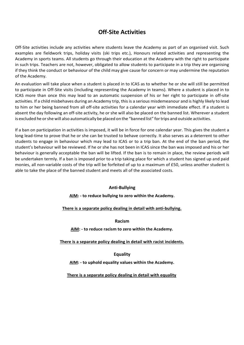## **Off-Site Activities**

Off-Site activities include any activities where students leave the Academy as part of an organised visit. Such examples are fieldwork trips, holiday visits (ski trips etc.), Honours related activities and representing the Academy in sports teams. All students go through their education at the Academy with the right to participate in such trips. Teachers are not, however, obligated to allow students to participate in a trip they are organising if they think the conduct or behaviour of the child may give cause for concern or may undermine the reputation of the Academy.

An evaluation will take place when a student is placed in to ICAS as to whether he or she will still be permitted to participate in Off-Site visits (including representing the Academy in teams). Where a student is placed in to ICAS more than once this may lead to an automatic suspension of his or her right to participate in off-site activities. If a child misbehaves during an Academy trip, this is a serious misdemeanour and is highly likely to lead to him or her being banned from all off-site activities for a calendar year with immediate effect. If a student is absent the day following an off-site activity, he or she will also be placed on the banned list. Wherever a student is excluded he orshe will also automatically be placed on the "banned list" fortrips and outside activities.

If a ban on participation in activities is imposed, it will be in force for one calendar year. This gives the student a long lead-time to prove that he or she can be trusted to behave correctly. It also serves as a deterrent to other students to engage in behaviour which may lead to ICAS or to a trip ban. At the end of the ban period, the student's behaviour will be reviewed. If he or she has not been in ICAS since the ban was imposed and his or her behaviour is generally acceptable the ban will be lifted. If the ban is to remain in place, the review periods will be undertaken termly. If a ban is imposed prior to a trip taking place for which a student has signed up and paid monies, all non-variable costs of the trip will be forfeited of up to a maximum of £50, unless another student is able to take the place of the banned student and meets all of the associated costs.

#### **Anti-Bullying**

**AIM: - to reduce bullying to zero within the Academy.**

#### **There is a separate policy dealing in detail with anti-bullying.**

**Racism**

**AIM: - to reduce racism to zero within the Academy.**

**There is a separate policy dealing in detail with racist incidents.**

**Equality**

**AIM: - to uphold equality values within the Academy.**

**There is a separate policy dealing in detail with equality**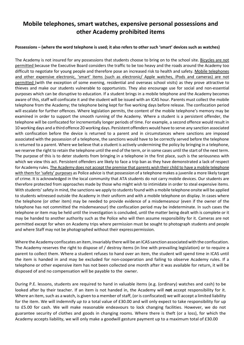## **Mobile telephones, smart watches, expensive personal possessions and other Academy prohibited items**

#### **Possessions – (where the word telephone is used; it also refers to other such 'smart' devices such as watches)**

The Academy is not insured for any possessions that students choose to bring on to the school site. Bicycles are not permitted because the Executive Board considers the traffic to be too heavy and the roads around the Academy too difficult to negotiate for young people and therefore pose an increased risk to health and safety. Mobile telephones and other expensive electronic, 'smart' items (such as electronic/ Apple watches, iPods and cameras) are not permitted (with the exception of some evening, residential and overseas school visits) as they prove attractive to thieves and make our students vulnerable to opportunists. They also encourage use for social and non-essential purposes which can be disruptive to education. If a student brings in a mobile telephone and the Academy becomes aware of this, staff will confiscate it and the student will be issued with an ICAS hour. Parents must collect the mobile telephone from the Academy; the telephone being kept for five working days before release. The confiscation period will escalate for further offences. Where legislation permits, the content of the mobile telephone's memory may be examined in order to support the smooth running of the Academy. Where a student is a persistent offender, the telephone will be confiscated for incrementally longer periods of time. For example, a second offence would result in 10 working days and a third offence 20 working days. Persistent offenders would have to serve any sanction associated with confiscation before the device is returned to a parent and in circumstances where sanctions are imposed associated with the possession of a telephone, the sanctions would have to be correctly served before the telephone is returned to a parent. Where we believe that a student is actively undermining the policy by bringing in a telephone, we reserve the right to retain the telephone until the end of the term, or in some cases until the start of the next term. The purpose of this is to deter students from bringing in a telephone in the first place, such is the seriousness with which we view this act. Persistent offenders are likely to face a trip ban as they have demonstrated a lack of respect for Academy rules. The Academy does not accept the premise that parents wish their child to have a mobile telephone with them for 'safety' purposes as Police advice is that possession of a telephone makes a juvenile a more likely target of crime. It is acknowledged in the local community that ATA students do not carry mobile devices. Our students are therefore protected from approaches made by those who might wish to intimidate in order to steal expensive items. With students' safety in mind, the sanctions we apply to students found with a mobile telephone onsite will be applied to students witnessed outside the Academy in their uniform and with a mobile telephone on display. In cases where the telephone (or other item) may be needed to provide evidence of a misdemeanour (even if the owner of the telephone has not committed the misdemeanour) the confiscation period may be indeterminate. In such cases the telephone or item may be held until the investigation is concluded, until the matter being dealt with is complete or it may be handed to another authority such as the Police who will then assume responsibility for it. Cameras are not permitted except for when on Academy trips where permission must be sought to photograph students and people and where Staff may not be photographed without their express permission.

Where the Academy confiscates an item, invariably there will be an ICAS sanction associated with the confiscation. The Academy reserves the right to dispose of / destroy items (in line with prevailing legislation) or to require a parent to collect them. Where a student refuses to hand over an item, the student will spend time in ICAS until the item is handed in and may be excluded for non-cooperation and failing to observe Academy rules. If a telephone or other expensive item has not been collected one month after it was available for return, it will be disposed of and no compensation will be payable to the owner.

During P.E. lessons, students are required to hand in valuable items (e.g. (ordinary) watches and cash) to be looked after by their teacher. If an item is not handed in, the Academy will **not** accept responsibility for it. Where an item, such as a watch, is given to a member of staff, (or is confiscated) we will accept a limited liability for the item. We will indemnify *up to* a total value of £30.00 and will only expect to take responsibility for up to £5.00 for cash. We will make reasonable endeavours to lock changing facilities. However, we do not guarantee security of clothes and goods in changing rooms. Where there is theft (or a loss), for which the Academy accepts liability, we will only make a goodwill gesture payment up to a maximum total of £30.00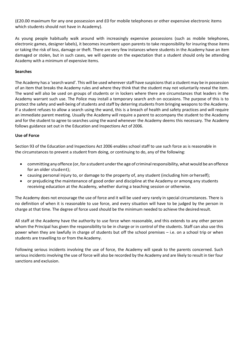(£20.00 maximum for any one possession and £0 for mobile telephones or other expensive electronic items which students should not have in Academy).

As young people habitually walk around with increasingly expensive possessions (such as mobile telephones, electronic games, designer labels), it becomes incumbent upon parents to take responsibility for insuring those items or taking the risk of loss, damage or theft. There are very few instances where students in the Academy have an item damaged or stolen, but in such cases, we will operate on the expectation that a student should only be attending Academy with a minimum of expensive items.

#### **Searches**

The Academy has a 'search wand'. This will be used whereverstaff have suspicionsthat a student may be in possession of an item that breaks the Academy rules and where they think that the student may not voluntarily reveal the item. The wand will also be used on groups of students or in lockers where there are circumstances that leaders in the Academy warrant such use. The Police may install a temporary search arch on occasions. The purpose of this is to protect the safety and well-being of students and staff by deterring students from bringing weapons to the Academy. If a student refuses to allow a search using the wand, this is a breach of health and safety practices and will require an immediate parent meeting. Usually the Academy will require a parent to accompany the student to the Academy and for the student to agree to searches using the wand whenever the Academy deems this necessary. The Academy follows guidance set out in the Education and Inspections Act of 2006.

#### **Use of Force**

Section 93 of the Education and Inspections Act 2006 enables school staff to use such force as is reasonable in the circumstances to prevent a student from doing, or continuing to do, any of the following:

- committing anyoffence (or,for a student underthe age of criminalresponsibility,what would be an offence for an older student);
- causing personal injury to, or damage to the property of, any student (including him orherself);
- or prejudicing the maintenance of good order and discipline at the Academy or among any students receiving education at the Academy, whether during a teaching session or otherwise.

The Academy does not encourage the use of force and it will be used very rarely in special circumstances. There is no definition of when it is reasonable to use force, and every situation will have to be judged by the person in charge at that time. The degree of force used should be the minimum needed to achieve the desiredresult.

All staff at the Academy have the authority to use force when reasonable, and this extends to any other person whom the Principal has given the responsibility to be in charge or in control of the students. Staff can also use this power when they are lawfully in charge of students but off the school premises – i.e. on a school trip or when students are travelling to or from the Academy.

Following serious incidents involving the use of force, the Academy will speak to the parents concerned. Such serious incidents involving the use of force will also be recorded by the Academy and are likely to result in tier four sanctions and exclusion.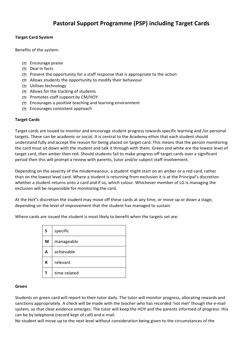#### **Target Card System**

Benefits of the system:

- Encourage praise
- Deal in facts
- $\boxed{P}$  Present the opportunity for a staff response that is appropriate to the action
- Allows students the opportunity to modify their behaviour
- Utilises technology
- Allows for the tracking of students
- Promotes staff support by CM/HOY
- **Encourages a positive teaching and learning environment**
- Encourages consistent approach

#### **Target Cards**

Target cards are issued to monitor and encourage student progress towards specific learning and /or personal targets. These can be academic or social. It is central to the Academy ethos that each student should understand fully and accept the reason for being placed on target card. This means that the person monitoring the card must sit down with the student and talk it through with them. Green and white are the lowest level of target card, then amber then red. Should students fail to make progress off target cards over a significant period then this will prompt a review with parents, tutor and/or subject staff involvement.

Depending on the severity of the misdemeanour, a student might start on an amber or a red card, rather than on the lowest level card. Where a student is returning from exclusion it is at the Principal's discretion whether a student returns onto a card and if so, which colour. Whichever member of LG is managing the exclusion will be responsible for monitoring the card.

At the HoY's discretion the student may move off these cards at any time, or move up or down a stage, depending on the level of improvement that the student has managed to sustain.

Where cards are issued the student is most likely to benefit when the targets set are:

| S | specific     |
|---|--------------|
| M | manageable   |
| А | achievable   |
| R | relevant     |
|   | time-related |

#### **Green**

Students on green card will report to their tutor daily. The tutor will monitor progress, allocating rewards and sanctions appropriately. A check will be made with the teacher who has recorded 'not met' though the e-mail system, so that clear evidence emerges. The tutor will keep the HOY and the parents informed of progress: this can be by telephone (record kept of call) and e-mail.

No student will move up to the next level without consideration being given to the circumstances of the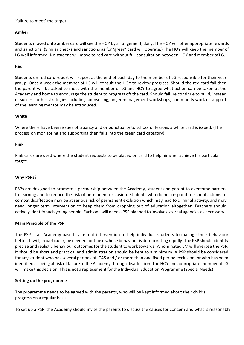'failure to meet' the target.

#### **Amber**

Students moved onto amber card will see the HOY by arrangement, daily. The HOY will offer appropriate rewards and sanctions. (Similar checks and sanctions as for 'green' card will operate.) The HOY will keep the member of LG well informed. No student will move to red card without full consultation between HOY and member ofLG.

#### **Red**

Students on red card report will report at the end of each day to the member of LG responsible for their year group. Once a week the member of LG will consult the HOY to review progress. Should the red card fail then the parent will be asked to meet with the member of LG and HOY to agree what action can be taken at the Academy and home to encourage the student to progress off the card. Should failure continue to build, instead of success, other strategies including counselling, anger management workshops, community work or support of the learning mentor may be introduced.

#### **White**

Where there have been issues of truancy and or punctuality to school or lessons a white card is issued. (The process on monitoring and supporting then falls into the green card category).

#### **Pink**

Pink cards are used where the student requests to be placed on card to help him/her achieve his particular target.

#### **Why PSPs?**

PSPs are designed to promote a partnership between the Academy, student and parent to overcome barriers to learning and to reduce the risk of permanent exclusion. Students who do not respond to school actions to combat disaffection may be at serious risk of permanent exclusion which may lead to criminal activity, and may need longer term intervention to keep them from dropping out of education altogether. Teachers should actively identify such young people. Each one will need a PSP planned to involve external agencies as necessary.

#### **Main Principle of the PSP**

The PSP is an Academy-based system of intervention to help individual students to manage their behaviour better. It will, in particular, be needed for those whose behaviour is deteriorating rapidly. The PSP should identify precise and realistic behaviour outcomesforthe student to work towards. A nominated LM will oversee the PSP. It should be short and practical and administration should be kept to a minimum. A PSP should be considered for any student who has several periods of ICAS and / or more than one fixed period exclusion, or who has been identified as being at risk of failure at the Academy through disaffection. The HOY and appropriate member of LG will make this decision. Thisis not a replacement forthe Individual Education Programme (Special Needs).

#### **Setting up the programme**

The programme needs to be agreed with the parents, who will be kept informed about their child's progress on a regular basis.

To set up a PSP, the Academy should invite the parents to discuss the causes for concern and what is reasonably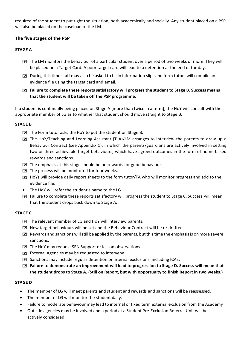required of the student to put right the situation, both academically and socially. Any student placed on a PSP will also be placed on the caseload of the LM.

#### **The five stages of the PSP**

#### **STAGE A**

- The LM monitors the behaviour of a particular student over a period of two weeks or more. They will be placed on a Target Card. A poor target card will lead to a detention at the end of theday.
- During this time staff may also be asked to fill in information slips and form tutors will compile an evidence file using the target card and email.
- **Failure to complete these reports satisfactory will progress the student to Stage B. Success means that the student will be taken off the PSP programme.**

If a student is continually being placed on Stage A [more than twice in a term], the HoY will consult with the appropriate member of LG as to whether that student should move straight to Stage B.

#### **STAGE B**

- The Form tutor asks the HoY to put the student on Stage B.
- The HoY/Teaching and Learning Assistant (TLA)/LM arranges to interview the parents to draw up a Behaviour Contract (see Appendix 1), in which the parents/guardians are actively involved in setting two or three achievable target behaviours, which have agreed outcomes in the form of home-based rewards and sanctions.
- The emphasis at this stage should be on rewards for good behaviour.
- The process will be monitored for four weeks.
- HoYs will provide daily report sheets to the form tutor/TA who will monitor progress and add to the evidence file.
- The HoY will refer the student's name to the LG.
- Failure to complete these reports satisfactory will progress the student to Stage C. Success will mean that the student drops back down to Stage A.

#### **STAGE C**

- The relevant member of LG and HoY will interview parents.
- New target behaviours will be set and the Behaviour Contract will be re-drafted.
- Rewards and sanctions willstill be applied by the parents, butthistime the emphasisis on more severe sanctions.
- **The HoY may request SEN Support or lesson observations**
- E External Agencies may be requested to intervene.
- Sanctions may include regular detention or internal exclusions, including ICAS.
- **Failure to demonstrate an improvement will lead to progression to Stage D. Success will mean that the student drops to Stage A. (Still on Report, but with opportunity to finish Report in two weeks.)**

#### **STAGE D**

- The member of LG will meet parents and student and rewards and sanctions will be reassessed.
- The member of LG will monitor the student daily.
- Failure to moderate behaviour may lead to internal or fixed term external exclusion from the Academy
- Outside agencies may be involved and a period at a Student Pre-Exclusion Referral Unit will be actively considered.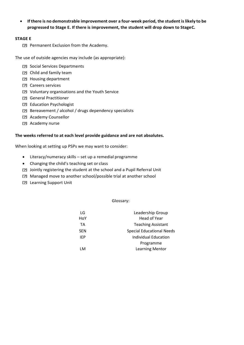• **If there is no demonstrable improvement over a four-week period, the student islikely to be progressed to Stage E. If there is improvement, the student will drop down to StageC.**

#### **STAGE E**

Permanent Exclusion from the Academy.

The use of outside agencies may include (as appropriate):

- Social Services Departments
- Child and family team
- **2 Housing department**
- Careers services
- Voluntary organisations and the Youth Service
- General Practitioner
- Education Psychologist
- Bereavement / alcohol / drugs dependency specialists
- **2 Academy Counsellor**
- **2** Academy nurse

#### **The weeks referred to at each level provide guidance and are not absolutes.**

When looking at setting up PSPs we may want to consider:

- Literacy/numeracy skills set up a remedial programme
- Changing the child's teaching set or class
- Jointly registering the student at the school and a Pupil Referral Unit
- Managed move to another school/possible trial at another school
- Learning Support Unit

Glossary:

| LG         | Leadership Group                 |
|------------|----------------------------------|
| HoY        | <b>Head of Year</b>              |
| TA         | <b>Teaching Assistant</b>        |
| <b>SEN</b> | <b>Special Educational Needs</b> |
| IFP        | <b>Individual Education</b>      |
|            | Programme                        |
| i M        | <b>Learning Mentor</b>           |
|            |                                  |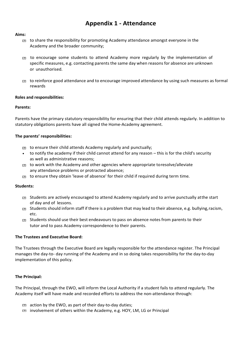## **Appendix 1 - Attendance**

#### **Aims:**

- to share the responsibility for promoting Academy attendance amongst everyone in the Academy and the broader community;
- to encourage some students to attend Academy more regularly by the implementation of specific measures, e.g. contacting parents the same day when reasons for absence are unknown or unauthorised.
- to reinforce good attendance and to encourage improved attendance by using such measures as formal rewards

#### **Roles and responsibilities:**

#### **Parents:**

Parents have the primary statutory responsibility for ensuring that their child attends regularly. In addition to statutory obligations parents have all signed the Home-Academy agreement.

#### **The parents' responsibilities:**

- In to ensure their child attends Academy regularly and punctually;
- to notify the academy if their child cannot attend for any reason this is for the child's security as well as administrative reasons;
- to work with the Academy and other agencies where appropriate toresolve/alleviate any attendance problems or protracted absence;
- to ensure they obtain 'leave of absence' for their child if required during term time*.*

#### **Students:**

- Students are actively encouraged to attend Academy regularly and to arrive punctually atthe start of day and of lessons.
- **EXEDUARE:** Students should inform staff if there is a problem that may lead to their absence, e.g. bullying, racism, etc.
- □ Students should use their best endeavours to pass on absence notes from parents to their tutor and to pass Academy correspondence to their parents.

#### **The Trustees and Executive Board:**

The Trustees through the Executive Board are legally responsible for the attendance register. The Principal manages the day-to- day running of the Academy and in so doing takes responsibility for the day-to-day implementation of this policy.

#### **The Principal:**

The Principal, through the EWO, will inform the Local Authority if a student fails to attend regularly. The Academy itself will have made and recorded efforts to address the non-attendance through:

- action by the EWO, as part of their day-to-day duties;
- involvement of others within the Academy, e.g. HOY, LM, LG or Principal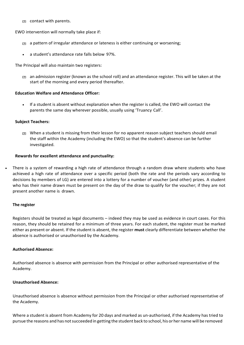contact with parents.

EWO intervention will normally take place if:

- $\Box$  a pattern of irregular attendance or lateness is either continuing or worsening;
- a student's attendance rate falls below 97%.

The Principal will also maintain two registers:

 $\Box$  an admission register (known as the school roll) and an attendance register. This will be taken at the start of the morning and every period thereafter.

#### **Education Welfare and Attendance Officer:**

• If a student is absent without explanation when the register is called, the EWO will contact the parents the same day wherever possible, usually using 'Truancy Call'.

#### **Subject Teachers:**

 $\Box$  When a student is missing from their lesson for no apparent reason subject teachers should email the staff within the Academy (including the EWO) so that the student's absence can be further investigated.

#### **Rewards for excellent attendance and punctuality:**

• There is a system of rewarding a high rate of attendance through a random draw where students who have achieved a high rate of attendance over a specific period (both the rate and the periods vary according to decisions by members of LG) are entered into a lottery for a number of voucher (and other) prizes. A student who has their name drawn must be present on the day of the draw to qualify for the voucher; if they are not present another name is drawn.

#### **The register**

Registers should be treated as legal documents – indeed they may be used as evidence in court cases. For this reason, they should be retained for a minimum of three years. For each student, the register must be marked either as present or absent. If the student is absent, the register **must** clearly differentiate between whether the absence is authorised or unauthorised by the Academy.

#### **Authorised Absence:**

Authorised absence is absence with permission from the Principal or other authorised representative of the Academy.

#### **Unauthorised Absence:**

Unauthorised absence is absence without permission from the Principal or other authorised representative of the Academy.

Where a student is absent from Academy for 20 days and marked as un-authorised, if the Academy has tried to pursue the reasons and has not succeeded in getting the student back to school, his or her name will be removed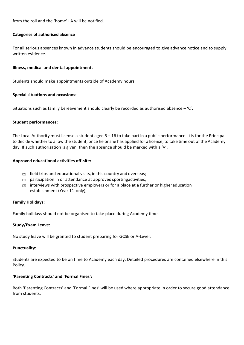from the roll and the 'home' LA will be notified.

#### **Categories of authorised absence**

For all serious absences known in advance students should be encouraged to give advance notice and to supply written evidence.

#### **Illness, medical and dental appointments:**

Students should make appointments outside of Academy hours

#### **Special situations and occasions:**

Situations such as family bereavement should clearly be recorded as authorised absence – 'C'.

#### **Student performances:**

The Local Authority must license a student aged 5 – 16 to take part in a public performance. It is for the Principal to decide whether to allow the student, once he orshe has applied for a license, to take time out of the Academy day. If such authorisation is given, then the absence should be marked with a 'V'.

#### **Approved educational activities off-site:**

- $\Box$  field trips and educational visits, in this country and overseas;
- participation in or attendance at approved sportingactivities;
- $\Box$  interviews with prospective employers or for a place at a further or highereducation establishment (Year 11 only);

#### **Family Holidays:**

Family holidays should not be organised to take place during Academy time.

#### **Study/Exam Leave:**

No study leave will be granted to student preparing for GCSE or A-Level.

#### **Punctuality:**

Students are expected to be on time to Academy each day. Detailed procedures are contained elsewhere in this Policy.

#### **'Parenting Contracts' and 'Formal Fines':**

Both 'Parenting Contracts' and 'Formal Fines' will be used where appropriate in order to secure good attendance from students.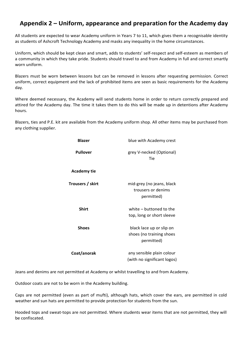## **Appendix 2 – Uniform, appearance and preparation for the Academy day**

All students are expected to wear Academy uniform in Years 7 to 11, which gives them a recognisable identity as students of Ashcroft Technology Academy and masks any inequality in the home circumstances.

Uniform, which should be kept clean and smart, adds to students' self-respect and self-esteem as members of a community in which they take pride. Students should travel to and from Academy in full and correct smartly worn uniform.

Blazers must be worn between lessons but can be removed in lessons after requesting permission. Correct uniform, correct equipment and the lack of prohibited items are seen as basic requirements for the Academy day.

Where deemed necessary, the Academy will send students home in order to return correctly prepared and attired for the Academy day. The time it takes them to do this will be made up in detentions after Academy hours.

Blazers, ties and P.E. kit are available from the Academy uniform shop. All other items may be purchased from any clothing supplier.

| <b>Blazer</b>      | blue with Academy crest                                            |
|--------------------|--------------------------------------------------------------------|
| <b>Pullover</b>    | grey V-necked (Optional)<br>Tie                                    |
| <b>Academy tie</b> |                                                                    |
| Trousers / skirt   | mid-grey (no jeans, black<br>trousers or denims<br>permitted)      |
| <b>Shirt</b>       | white - buttoned to the<br>top, long or short sleeve               |
| <b>Shoes</b>       | black lace up or slip on<br>shoes (no training shoes<br>permitted) |
| Coat/anorak        | any sensible plain colour<br>(with no significant logos)           |

Jeans and denims are not permitted at Academy or whilst travelling to and from Academy.

Outdoor coats are not to be worn in the Academy building.

Caps are not permitted (even as part of mufti), although hats, which cover the ears, are permitted in cold weather and sun hats are permitted to provide protection for students from the sun.

Hooded tops and sweat-tops are not permitted. Where students wear items that are not permitted, they will be confiscated.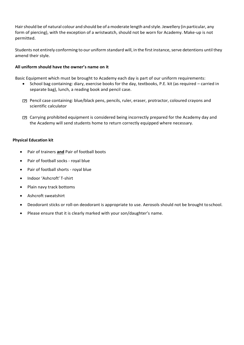Hairshould be of natural colour and should be of a moderate length and style. Jewellery (in particular, any form of piercing), with the exception of a wristwatch, should not be worn for Academy. Make-up is not permitted.

Students not entirely conforming to our uniform standard will, in the first instance, serve detentions until they amend their style.

#### **All uniform should have the owner's name on it**

Basic Equipment which must be brought to Academy each day is part of our uniform requirements:

- School bag containing: diary, exercise books for the day, textbooks, P.E. kit (as required carried in separate bag), lunch, a reading book and pencil case.
- Pencil case containing: blue/black pens, pencils, ruler, eraser, protractor, coloured crayons and scientific calculator
- Carrying prohibited equipment is considered being incorrectly prepared for the Academy day and the Academy will send students home to return correctly equipped where necessary.

#### **Physical Education kit**

- Pair of trainers **and** Pair of football boots
- Pair of football socks royal blue
- Pair of football shorts royal blue
- Indoor 'Ashcroft' T-shirt
- Plain navy track bottoms
- Ashcroft sweatshirt
- Deodorant sticks or roll-on deodorant is appropriate to use. Aerosols should not be brought toschool.
- Please ensure that it is clearly marked with your son/daughter's name.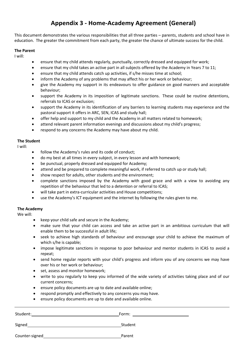## **Appendix 3 - Home-Academy Agreement (General)**

This document demonstrates the various responsibilities that all three parties – parents, students and school have in education. The greater the commitment from each party, the greater the chance of ultimate success for the child.

#### **The Parent**

I will:

- ensure that my child attends regularly, punctually, correctly dressed and equipped for work;
- ensure that my child takes an active part in all subjects offered by the Academy in Years 7 to 11;
- ensure that my child attends catch up activities, if s/he misses time at school;
- inform the Academy of any problems that may affect his or her work or behaviour;
- give the Academy my support in its endeavours to offer guidance on good manners and acceptable behaviour;
- support the Academy in its imposition of legitimate sanctions. These could be routine detentions, referrals to ICAS or exclusion;
- support the Academy in its identification of any barriers to learning students may experience and the pastoral support it offers in ARC, SEN, ICAS and study hall;
- offer help and support to my child and the Academy in all matters related to homework;
- attend relevant parent information evenings and discussions about my child's progress;
- respond to any concerns the Academy may have about my child.

#### **The Student**

I will:

- follow the Academy's rules and its code of conduct;
- do my best at all times in every subject, in every lesson and with homework;
- be punctual, properly dressed and equipped for Academy;
- attend and be prepared to complete meaningful work, if referred to catch up or study hall;
- show respect for adults, other students and the environment;
- complete sanctions imposed by the Academy with good grace and with a view to avoiding any repetition of the behaviour that led to a detention or referral to ICAS;
- will take part in extra-curricular activities and House competitions;
- use the Academy's ICT equipment and the internet by following the rules given to me.

#### **The Academy**

We will:

- keep your child safe and secure in the Academy;
- make sure that your child can access and take an active part in an ambitious curriculum that will enable them to be successful in adult life;
- seek to achieve high standards of behaviour and encourage your child to achieve the maximum of which s/he is capable;
- impose legitimate sanctions in response to poor behaviour and mentor students in ICAS to avoid a repeat;
- send home regular reports with your child's progress and inform you of any concerns we may have over his or her work or behaviour;
- set, assess and monitor homework;
- write to you regularly to keep you informed of the wide variety of activities taking place and of our current concerns;
- ensure policy documents are up to date and available online;
- respond promptly and effectively to any concerns you may have.
- ensure policy documents are up to date and available online.

Student: Form: Signed Student Student Student Student Student Student Student Student Student Student Student Student Student

Counter-signed Parent